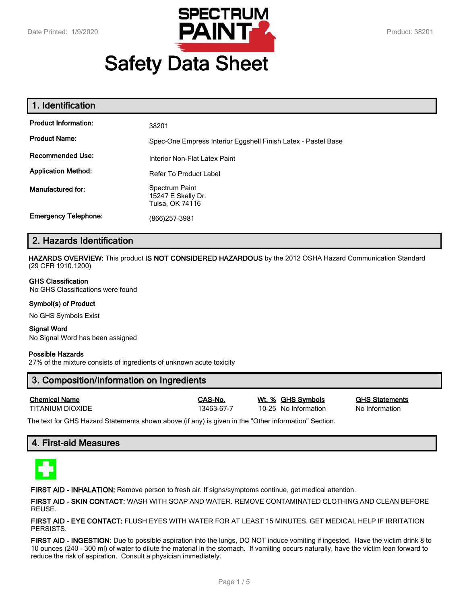

# **Safety Data Sheet**

| 1. Identification           |                                                               |
|-----------------------------|---------------------------------------------------------------|
| <b>Product Information:</b> | 38201                                                         |
| <b>Product Name:</b>        | Spec-One Empress Interior Eggshell Finish Latex - Pastel Base |
| <b>Recommended Use:</b>     | Interior Non-Flat Latex Paint                                 |
| <b>Application Method:</b>  | <b>Refer To Product Label</b>                                 |
| Manufactured for:           | Spectrum Paint<br>15247 E Skelly Dr.<br>Tulsa, OK 74116       |
| <b>Emergency Telephone:</b> | (866)257-3981                                                 |

# **2. Hazards Identification**

**HAZARDS OVERVIEW:** This product **IS NOT CONSIDERED HAZARDOUS** by the 2012 OSHA Hazard Communication Standard (29 CFR 1910.1200)

#### **GHS Classification**

No GHS Classifications were found

#### **Symbol(s) of Product**

No GHS Symbols Exist

#### **Signal Word** No Signal Word has been assigned

#### **Possible Hazards**

27% of the mixture consists of ingredients of unknown acute toxicity

# **3. Composition/Information on Ingredients**

| <b>Chemical Name</b> |  |
|----------------------|--|
| TITANII IM DIOXIDE   |  |

13463-67-7 10-25 No Information No Information

**Chemical Name CAS-No. Wt. % GHS Symbols GHS Statements**

The text for GHS Hazard Statements shown above (if any) is given in the "Other information" Section.

# **4. First-aid Measures**



**FIRST AID - INHALATION:** Remove person to fresh air. If signs/symptoms continue, get medical attention.

**FIRST AID - SKIN CONTACT:** WASH WITH SOAP AND WATER. REMOVE CONTAMINATED CLOTHING AND CLEAN BEFORE REUSE.

**FIRST AID - EYE CONTACT:** FLUSH EYES WITH WATER FOR AT LEAST 15 MINUTES. GET MEDICAL HELP IF IRRITATION PERSISTS.

**FIRST AID - INGESTION:** Due to possible aspiration into the lungs, DO NOT induce vomiting if ingested. Have the victim drink 8 to 10 ounces (240 - 300 ml) of water to dilute the material in the stomach. If vomiting occurs naturally, have the victim lean forward to reduce the risk of aspiration. Consult a physician immediately.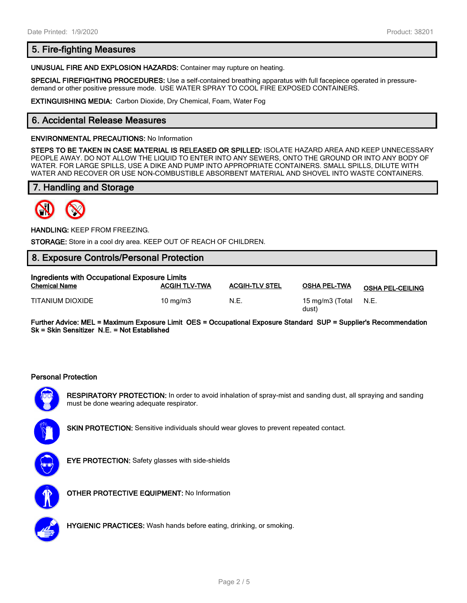# **5. Fire-fighting Measures**

**UNUSUAL FIRE AND EXPLOSION HAZARDS:** Container may rupture on heating.

**SPECIAL FIREFIGHTING PROCEDURES:** Use a self-contained breathing apparatus with full facepiece operated in pressuredemand or other positive pressure mode. USE WATER SPRAY TO COOL FIRE EXPOSED CONTAINERS.

**EXTINGUISHING MEDIA:** Carbon Dioxide, Dry Chemical, Foam, Water Fog

# **6. Accidental Release Measures**

#### **ENVIRONMENTAL PRECAUTIONS:** No Information

**STEPS TO BE TAKEN IN CASE MATERIAL IS RELEASED OR SPILLED:** ISOLATE HAZARD AREA AND KEEP UNNECESSARY PEOPLE AWAY. DO NOT ALLOW THE LIQUID TO ENTER INTO ANY SEWERS, ONTO THE GROUND OR INTO ANY BODY OF WATER. FOR LARGE SPILLS, USE A DIKE AND PUMP INTO APPROPRIATE CONTAINERS. SMALL SPILLS, DILUTE WITH WATER AND RECOVER OR USE NON-COMBUSTIBLE ABSORBENT MATERIAL AND SHOVEL INTO WASTE CONTAINERS.

# **7. Handling and Storage**



**HANDLING:** KEEP FROM FREEZING.

**STORAGE:** Store in a cool dry area. KEEP OUT OF REACH OF CHILDREN.

## **8. Exposure Controls/Personal Protection**

| Ingredients with Occupational Exposure Limits |                      |                       |                          |                         |  |
|-----------------------------------------------|----------------------|-----------------------|--------------------------|-------------------------|--|
| <b>Chemical Name</b>                          | <b>ACGIH TLV-TWA</b> | <b>ACGIH-TLV STEL</b> | <b>OSHA PEL-TWA</b>      | <b>OSHA PEL-CEILING</b> |  |
| TITANIUM DIOXIDE                              | $10 \text{ ma/m}$ 3  | N.E.                  | 15 mg/m3 (Total<br>dust) | N.E.                    |  |

**Further Advice: MEL = Maximum Exposure Limit OES = Occupational Exposure Standard SUP = Supplier's Recommendation Sk = Skin Sensitizer N.E. = Not Established**

#### **Personal Protection**



**RESPIRATORY PROTECTION:** In order to avoid inhalation of spray-mist and sanding dust, all spraying and sanding must be done wearing adequate respirator.



**SKIN PROTECTION:** Sensitive individuals should wear gloves to prevent repeated contact.



**EYE PROTECTION:** Safety glasses with side-shields



**OTHER PROTECTIVE EQUIPMENT:** No Information



**HYGIENIC PRACTICES:** Wash hands before eating, drinking, or smoking.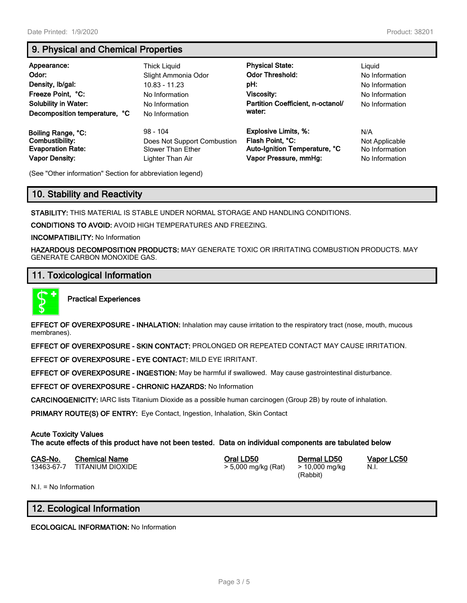# **9. Physical and Chemical Properties**

| Appearance:<br>Odor:<br>Density, Ib/gal:<br>Freeze Point, °C:<br><b>Solubility in Water:</b><br>Decomposition temperature, °C | Thick Liguid<br>Slight Ammonia Odor<br>$10.83 - 11.23$<br>No Information<br>No Information<br>No Information | <b>Physical State:</b><br><b>Odor Threshold:</b><br>pH:<br>Viscosity:<br>Partition Coefficient, n-octanol/<br>water: | Liguid<br>No Information<br>No Information<br>No Information<br>No Information |
|-------------------------------------------------------------------------------------------------------------------------------|--------------------------------------------------------------------------------------------------------------|----------------------------------------------------------------------------------------------------------------------|--------------------------------------------------------------------------------|
| Boiling Range, °C:                                                                                                            | $98 - 104$                                                                                                   | <b>Explosive Limits, %:</b>                                                                                          | N/A                                                                            |
| Combustibility:                                                                                                               | Does Not Support Combustion                                                                                  | Flash Point, °C:                                                                                                     | Not Applicable                                                                 |
| <b>Evaporation Rate:</b>                                                                                                      | Slower Than Ether                                                                                            | Auto-Ignition Temperature, °C                                                                                        | No Information                                                                 |
| <b>Vapor Density:</b>                                                                                                         | Lighter Than Air                                                                                             | Vapor Pressure, mmHg:                                                                                                | No Information                                                                 |

(See "Other information" Section for abbreviation legend)

# **10. Stability and Reactivity**

**STABILITY:** THIS MATERIAL IS STABLE UNDER NORMAL STORAGE AND HANDLING CONDITIONS.

**CONDITIONS TO AVOID:** AVOID HIGH TEMPERATURES AND FREEZING.

**INCOMPATIBILITY:** No Information

**HAZARDOUS DECOMPOSITION PRODUCTS:** MAY GENERATE TOXIC OR IRRITATING COMBUSTION PRODUCTS. MAY GENERATE CARBON MONOXIDE GAS.

## **11. Toxicological Information**



**Practical Experiences**

**EFFECT OF OVEREXPOSURE - INHALATION:** Inhalation may cause irritation to the respiratory tract (nose, mouth, mucous membranes).

**EFFECT OF OVEREXPOSURE - SKIN CONTACT:** PROLONGED OR REPEATED CONTACT MAY CAUSE IRRITATION.

**EFFECT OF OVEREXPOSURE - EYE CONTACT:** MILD EYE IRRITANT.

**EFFECT OF OVEREXPOSURE - INGESTION:** May be harmful if swallowed. May cause gastrointestinal disturbance.

**EFFECT OF OVEREXPOSURE - CHRONIC HAZARDS:** No Information

**CARCINOGENICITY:** IARC lists Titanium Dioxide as a possible human carcinogen (Group 2B) by route of inhalation.

**PRIMARY ROUTE(S) OF ENTRY:** Eye Contact, Ingestion, Inhalation, Skin Contact

#### **Acute Toxicity Values**

**The acute effects of this product have not been tested. Data on individual components are tabulated below**

| CAS-No. | <b>Chemical Name</b>        | Oral LD50           | Dermal LD50    |
|---------|-----------------------------|---------------------|----------------|
|         | 13463-67-7 TITANIUM DIOXIDE | > 5,000 mg/kg (Rat) | > 10,000 mg/kg |

(Rabbit)

**CAS-No. Chemical Name Oral LD50 Dermal LD50 Vapor LC50** N.I.

N.I. = No Information

# **12. Ecological Information**

**ECOLOGICAL INFORMATION:** No Information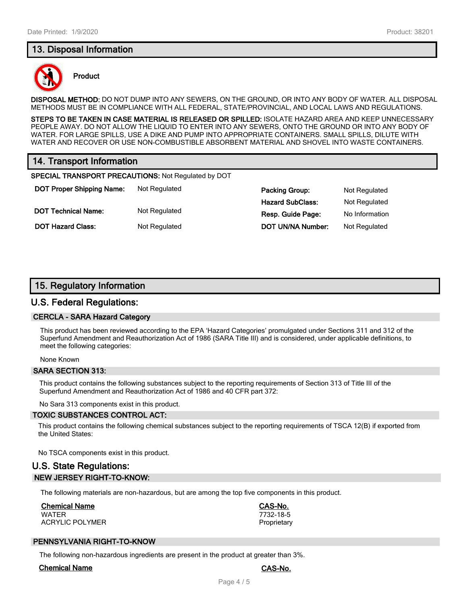# **13. Disposal Information**



#### **Product**

**DISPOSAL METHOD:** DO NOT DUMP INTO ANY SEWERS, ON THE GROUND, OR INTO ANY BODY OF WATER. ALL DISPOSAL METHODS MUST BE IN COMPLIANCE WITH ALL FEDERAL, STATE/PROVINCIAL, AND LOCAL LAWS AND REGULATIONS.

**STEPS TO BE TAKEN IN CASE MATERIAL IS RELEASED OR SPILLED:** ISOLATE HAZARD AREA AND KEEP UNNECESSARY PEOPLE AWAY. DO NOT ALLOW THE LIQUID TO ENTER INTO ANY SEWERS, ONTO THE GROUND OR INTO ANY BODY OF WATER. FOR LARGE SPILLS, USE A DIKE AND PUMP INTO APPROPRIATE CONTAINERS. SMALL SPILLS, DILUTE WITH WATER AND RECOVER OR USE NON-COMBUSTIBLE ABSORBENT MATERIAL AND SHOVEL INTO WASTE CONTAINERS.

# **14. Transport Information**

**SPECIAL TRANSPORT PRECAUTIONS:** Not Regulated by DOT

**DOT Proper Shipping Name:** Not Regulated **Packing Group:** Packing Group: Packing Brown Packing Group: Packing Brown Packing Brown Packing Brown Packing Brown Packing Brown Packing Brown Packing Brown Packing Brown Packing **DOT Technical Name:** Not Regulated

| Packing Group:    | Not Regulated  |
|-------------------|----------------|
| Hazard SubClass:  | Not Regulated  |
| Resp. Guide Page: | No Information |
| DOT UN/NA Number: | Not Regulated  |

# **15. Regulatory Information**

**DOT Hazard Class:** Not Regulated

#### **U.S. Federal Regulations:**

#### **CERCLA - SARA Hazard Category**

This product has been reviewed according to the EPA 'Hazard Categories' promulgated under Sections 311 and 312 of the Superfund Amendment and Reauthorization Act of 1986 (SARA Title III) and is considered, under applicable definitions, to meet the following categories:

None Known

#### **SARA SECTION 313:**

This product contains the following substances subject to the reporting requirements of Section 313 of Title III of the Superfund Amendment and Reauthorization Act of 1986 and 40 CFR part 372:

No Sara 313 components exist in this product.

#### **TOXIC SUBSTANCES CONTROL ACT:**

This product contains the following chemical substances subject to the reporting requirements of TSCA 12(B) if exported from the United States:

No TSCA components exist in this product.

# **U.S. State Regulations: NEW JERSEY RIGHT-TO-KNOW:**

The following materials are non-hazardous, but are among the top five components in this product.

## **Chemical Name CAS-No.**

WATER 7732-18-5 ACRYLIC POLYMER **PROPRIET ACRYLIC POLYMER** 

# **PENNSYLVANIA RIGHT-TO-KNOW**

The following non-hazardous ingredients are present in the product at greater than 3%.

#### **Chemical Name CAS-No.**